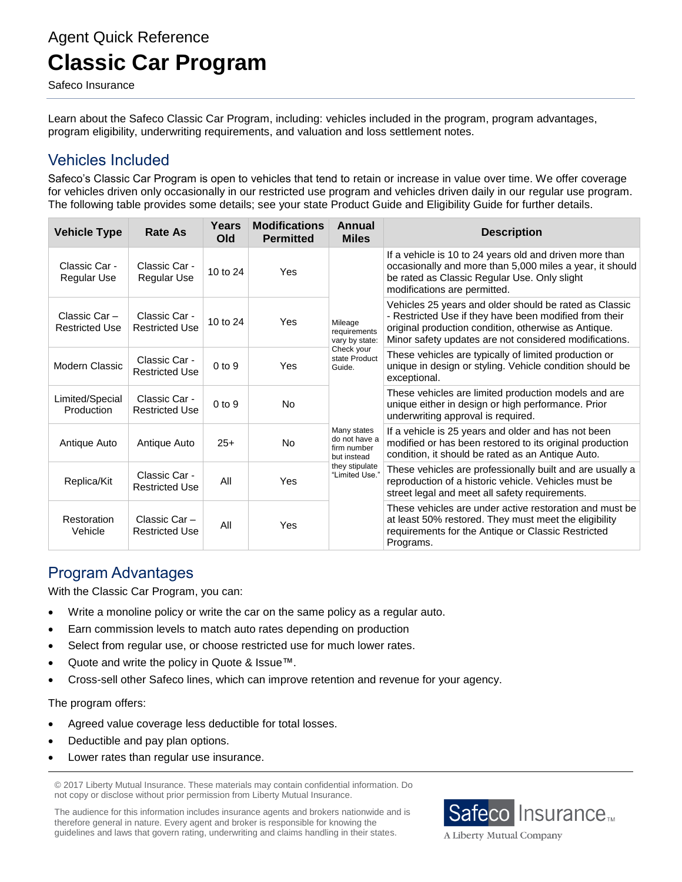# Agent Quick Reference **Classic Car Program**

Safeco Insurance

Learn about the Safeco Classic Car Program, including: vehicles included in the program, program advantages, program eligibility, underwriting requirements, and valuation and loss settlement notes.

## Vehicles Included

Safeco's Classic Car Program is open to vehicles that tend to retain or increase in value over time. We offer coverage for vehicles driven only occasionally in our restricted use program and vehicles driven daily in our regular use program. The following table provides some details; see your state Product Guide and Eligibility Guide for further details.

| <b>Vehicle Type</b>                   | <b>Rate As</b>                         | Years<br>Old | <b>Modifications</b><br><b>Permitted</b> | Annual<br><b>Miles</b>                                                                                                                                                               | <b>Description</b>                                                                                                                                                                                                                 |
|---------------------------------------|----------------------------------------|--------------|------------------------------------------|--------------------------------------------------------------------------------------------------------------------------------------------------------------------------------------|------------------------------------------------------------------------------------------------------------------------------------------------------------------------------------------------------------------------------------|
| Classic Car -<br><b>Regular Use</b>   | Classic Car -<br>Regular Use           | 10 to $24$   | Yes                                      | Mileage<br>requirements<br>vary by state:<br>Check your<br>state Product<br>Guide.<br>Many states<br>do not have a<br>firm number<br>but instead<br>they stipulate<br>"Limited Use." | If a vehicle is 10 to 24 years old and driven more than<br>occasionally and more than 5,000 miles a year, it should<br>be rated as Classic Regular Use. Only slight<br>modifications are permitted.                                |
| Classic Car-<br><b>Restricted Use</b> | Classic Car -<br><b>Restricted Use</b> | 10 to 24     | Yes                                      |                                                                                                                                                                                      | Vehicles 25 years and older should be rated as Classic<br>- Restricted Use if they have been modified from their<br>original production condition, otherwise as Antique.<br>Minor safety updates are not considered modifications. |
| Modern Classic                        | Classic Car -<br><b>Restricted Use</b> | $0$ to $9$   | Yes                                      |                                                                                                                                                                                      | These vehicles are typically of limited production or<br>unique in design or styling. Vehicle condition should be<br>exceptional.                                                                                                  |
| Limited/Special<br>Production         | Classic Car -<br><b>Restricted Use</b> | $0$ to $9$   | <b>No</b>                                |                                                                                                                                                                                      | These vehicles are limited production models and are<br>unique either in design or high performance. Prior<br>underwriting approval is required.                                                                                   |
| Antique Auto                          | Antique Auto                           | $25+$        | No                                       |                                                                                                                                                                                      | If a vehicle is 25 years and older and has not been<br>modified or has been restored to its original production<br>condition, it should be rated as an Antique Auto.                                                               |
| Replica/Kit                           | Classic Car -<br><b>Restricted Use</b> | All          | Yes                                      |                                                                                                                                                                                      | These vehicles are professionally built and are usually a<br>reproduction of a historic vehicle. Vehicles must be<br>street legal and meet all safety requirements.                                                                |
| Restoration<br>Vehicle                | Classic Car -<br><b>Restricted Use</b> | All          | Yes                                      |                                                                                                                                                                                      | These vehicles are under active restoration and must be<br>at least 50% restored. They must meet the eligibility<br>requirements for the Antique or Classic Restricted<br>Programs.                                                |

## Program Advantages

With the Classic Car Program, you can:

- Write a monoline policy or write the car on the same policy as a regular auto.
- Earn commission levels to match auto rates depending on production
- Select from regular use, or choose restricted use for much lower rates.
- Quote and write the policy in Quote & Issue™.
- Cross-sell other Safeco lines, which can improve retention and revenue for your agency.

The program offers:

- Agreed value coverage less deductible for total losses.
- Deductible and pay plan options.
- Lower rates than regular use insurance.

© 2017 Liberty Mutual Insurance. These materials may contain confidential information. Do not copy or disclose without prior permission from Liberty Mutual Insurance.

The audience for this information includes insurance agents and brokers nationwide and is therefore general in nature. Every agent and broker is responsible for knowing the guidelines and laws that govern rating, underwriting and claims handling in their states.



A Liberty Mutual Company